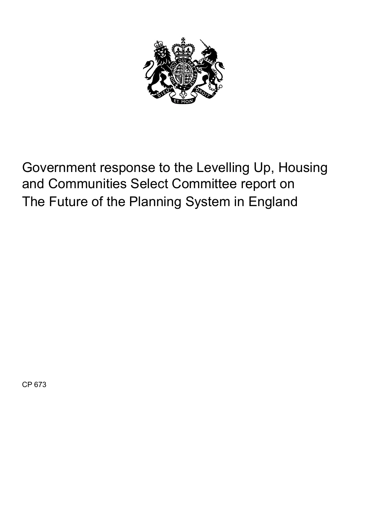

Government response to the Levelling Up, Housing and Communities Select Committee report on The Future of the Planning System in England

CP 673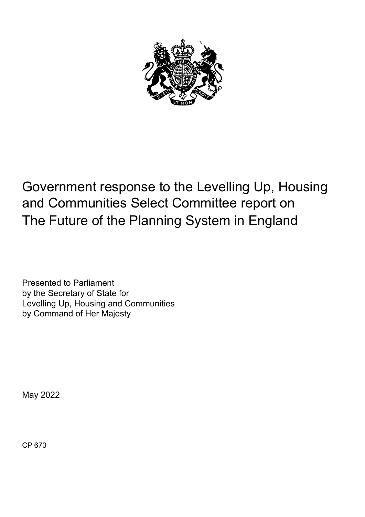

# Government response to the Levelling Up, Housing and Communities Select Committee report on The Future of the Planning System in England

Presented to Parliament by the Secretary of State for Levelling Up, Housing and Communities by Command of Her Majesty

May 2022

CP 673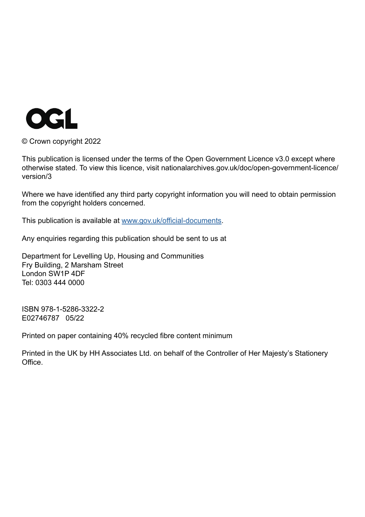

© Crown copyright 2022

This publication is licensed under the terms of the Open Government Licence v3.0 except where otherwise stated. To view this licence, visit nationalarchives.gov.uk/doc/open-government-licence/ version/3

Where we have identified any third party copyright information you will need to obtain permission from the copyright holders concerned.

This publication is available at [www.gov.uk/official-documents](http://www.gov.uk/official-documents).

Any enquiries regarding this publication should be sent to us at

Department for Levelling Up, Housing and Communities Fry Building, 2 Marsham Street London SW1P 4DF Tel: 0303 444 0000

ISBN 978-1-5286-3322-2 E02746787 05/22

Printed on paper containing 40% recycled fibre content minimum

Printed in the UK by HH Associates Ltd. on behalf of the Controller of Her Majesty's Stationery Office.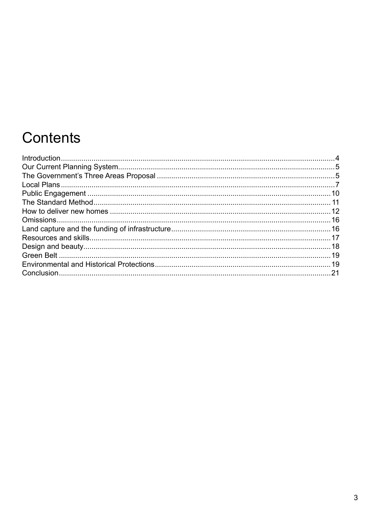# Contents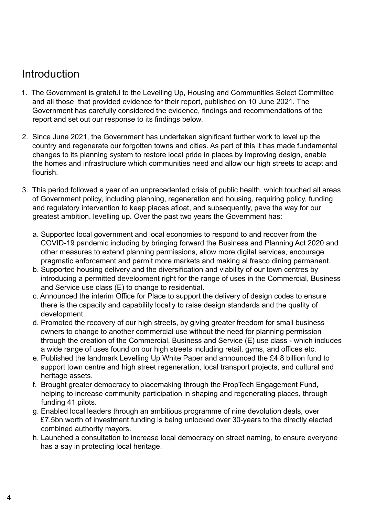# <span id="page-5-0"></span>Introduction

- 1. The Government is grateful to the Levelling Up, Housing and Communities Select Committee and all those that provided evidence for their report, published on 10 June 2021. The Government has carefully considered the evidence, findings and recommendations of the report and set out our response to its findings below.
- 2. Since June 2021, the Government has undertaken significant further work to level up the country and regenerate our forgotten towns and cities. As part of this it has made fundamental changes to its planning system to restore local pride in places by improving design, enable the homes and infrastructure which communities need and allow our high streets to adapt and flourish.
- 3. This period followed a year of an unprecedented crisis of public health, which touched all areas of Government policy, including planning, regeneration and housing, requiring policy, funding and regulatory intervention to keep places afloat, and subsequently, pave the way for our greatest ambition, levelling up. Over the past two years the Government has:
	- a. Supported local government and local economies to respond to and recover from the COVID-19 pandemic including by bringing forward the Business and Planning Act 2020 and other measures to extend planning permissions, allow more digital services, encourage pragmatic enforcement and permit more markets and making al fresco dining permanent.
	- b. Supported housing delivery and the diversification and viability of our town centres by introducing a permitted development right for the range of uses in the Commercial, Business and Service use class (E) to change to residential.
	- c. Announced the interim Office for Place to support the delivery of design codes to ensure there is the capacity and capability locally to raise design standards and the quality of development.
	- d. Promoted the recovery of our high streets, by giving greater freedom for small business owners to change to another commercial use without the need for planning permission through the creation of the Commercial, Business and Service (E) use class - which includes a wide range of uses found on our high streets including retail, gyms, and offices etc.
	- e. Published the landmark Levelling Up White Paper and announced the £4.8 billion fund to support town centre and high street regeneration, local transport projects, and cultural and heritage assets.
	- f. Brought greater democracy to placemaking through the PropTech Engagement Fund, helping to increase community participation in shaping and regenerating places, through funding 41 pilots.
	- g. Enabled local leaders through an ambitious programme of nine devolution deals, over £7.5bn worth of investment funding is being unlocked over 30-years to the directly elected combined authority mayors.
	- h. Launched a consultation to increase local democracy on street naming, to ensure everyone has a say in protecting local heritage.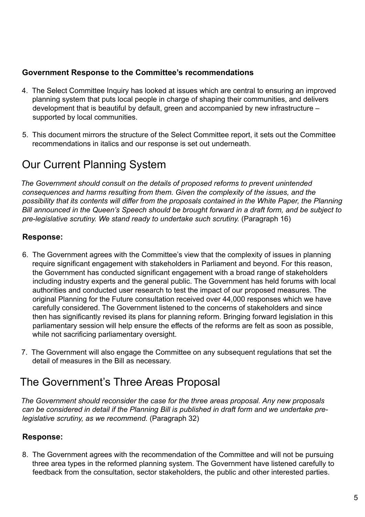## <span id="page-6-0"></span>**Government Response to the Committee's recommendations**

- 4. The Select Committee Inquiry has looked at issues which are central to ensuring an improved planning system that puts local people in charge of shaping their communities, and delivers development that is beautiful by default, green and accompanied by new infrastructure – supported by local communities.
- 5. This document mirrors the structure of the Select Committee report, it sets out the Committee recommendations in italics and our response is set out underneath.

# Our Current Planning System

*The Government should consult on the details of proposed reforms to prevent unintended consequences and harms resulting from them. Given the complexity of the issues, and the possibility that its contents will differ from the proposals contained in the White Paper, the Planning Bill announced in the Queen's Speech should be brought forward in a draft form, and be subject to pre-legislative scrutiny. We stand ready to undertake such scrutiny.* (Paragraph 16)

# **Response:**

- 6. The Government agrees with the Committee's view that the complexity of issues in planning require significant engagement with stakeholders in Parliament and beyond. For this reason, the Government has conducted significant engagement with a broad range of stakeholders including industry experts and the general public. The Government has held forums with local authorities and conducted user research to test the impact of our proposed measures. The original Planning for the Future consultation received over 44,000 responses which we have carefully considered. The Government listened to the concerns of stakeholders and since then has significantly revised its plans for planning reform. Bringing forward legislation in this parliamentary session will help ensure the effects of the reforms are felt as soon as possible, while not sacrificing parliamentary oversight.
- 7. The Government will also engage the Committee on any subsequent regulations that set the detail of measures in the Bill as necessary.

# The Government's Three Areas Proposal

*The Government should reconsider the case for the three areas proposal. Any new proposals can be considered in detail if the Planning Bill is published in draft form and we undertake prelegislative scrutiny, as we recommend.* (Paragraph 32)

# **Response:**

8. The Government agrees with the recommendation of the Committee and will not be pursuing three area types in the reformed planning system. The Government have listened carefully to feedback from the consultation, sector stakeholders, the public and other interested parties.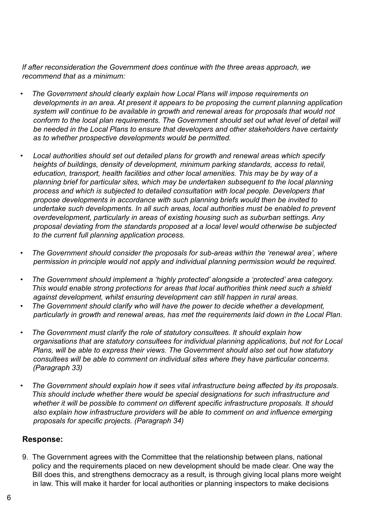*If after reconsideration the Government does continue with the three areas approach, we recommend that as a minimum:*

- *• The Government should clearly explain how Local Plans will impose requirements on developments in an area. At present it appears to be proposing the current planning application system will continue to be available in growth and renewal areas for proposals that would not conform to the local plan requirements. The Government should set out what level of detail will be needed in the Local Plans to ensure that developers and other stakeholders have certainty as to whether prospective developments would be permitted.*
- *• Local authorities should set out detailed plans for growth and renewal areas which specify heights of buildings, density of development, minimum parking standards, access to retail, education, transport, health facilities and other local amenities. This may be by way of a planning brief for particular sites, which may be undertaken subsequent to the local planning process and which is subjected to detailed consultation with local people. Developers that propose developments in accordance with such planning briefs would then be invited to undertake such developments. In all such areas, local authorities must be enabled to prevent overdevelopment, particularly in areas of existing housing such as suburban settings. Any proposal deviating from the standards proposed at a local level would otherwise be subjected to the current full planning application process.*
- *• The Government should consider the proposals for sub-areas within the 'renewal area', where permission in principle would not apply and individual planning permission would be required.*
- *• The Government should implement a 'highly protected' alongside a 'protected' area category. This would enable strong protections for areas that local authorities think need such a shield against development, whilst ensuring development can still happen in rural areas.*
- *• The Government should clarify who will have the power to decide whether a development, particularly in growth and renewal areas, has met the requirements laid down in the Local Plan.*
- *• The Government must clarify the role of statutory consultees. It should explain how organisations that are statutory consultees for individual planning applications, but not for Local Plans, will be able to express their views. The Government should also set out how statutory consultees will be able to comment on individual sites where they have particular concerns. (Paragraph 33)*
- *• The Government should explain how it sees vital infrastructure being affected by its proposals. This should include whether there would be special designations for such infrastructure and whether it will be possible to comment on different specific infrastructure proposals. It should also explain how infrastructure providers will be able to comment on and influence emerging proposals for specific projects. (Paragraph 34)*

### **Response:**

9. The Government agrees with the Committee that the relationship between plans, national policy and the requirements placed on new development should be made clear. One way the Bill does this, and strengthens democracy as a result, is through giving local plans more weight in law. This will make it harder for local authorities or planning inspectors to make decisions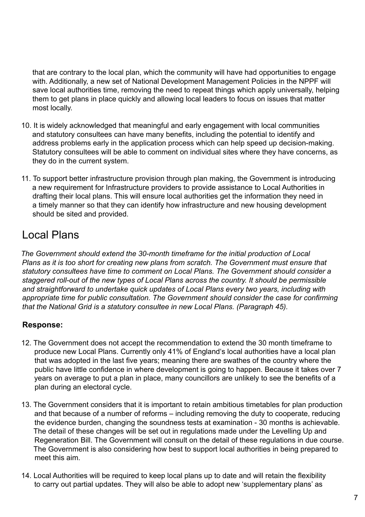<span id="page-8-0"></span>that are contrary to the local plan, which the community will have had opportunities to engage with. Additionally, a new set of National Development Management Policies in the NPPF will save local authorities time, removing the need to repeat things which apply universally, helping them to get plans in place quickly and allowing local leaders to focus on issues that matter most locally.

- 10. It is widely acknowledged that meaningful and early engagement with local communities and statutory consultees can have many benefits, including the potential to identify and address problems early in the application process which can help speed up decision-making. Statutory consultees will be able to comment on individual sites where they have concerns, as they do in the current system.
- 11. To support better infrastructure provision through plan making, the Government is introducing a new requirement for Infrastructure providers to provide assistance to Local Authorities in drafting their local plans. This will ensure local authorities get the information they need in a timely manner so that they can identify how infrastructure and new housing development should be sited and provided.

# Local Plans

*The Government should extend the 30-month timeframe for the initial production of Local Plans as it is too short for creating new plans from scratch. The Government must ensure that statutory consultees have time to comment on Local Plans. The Government should consider a staggered roll-out of the new types of Local Plans across the country. It should be permissible and straightforward to undertake quick updates of Local Plans every two years, including with appropriate time for public consultation. The Government should consider the case for confirming that the National Grid is a statutory consultee in new Local Plans. (Paragraph 45).*

# **Response:**

- 12. The Government does not accept the recommendation to extend the 30 month timeframe to produce new Local Plans. Currently only 41% of England's local authorities have a local plan that was adopted in the last five years; meaning there are swathes of the country where the public have little confidence in where development is going to happen. Because it takes over 7 years on average to put a plan in place, many councillors are unlikely to see the benefits of a plan during an electoral cycle.
- 13. The Government considers that it is important to retain ambitious timetables for plan production and that because of a number of reforms – including removing the duty to cooperate, reducing the evidence burden, changing the soundness tests at examination - 30 months is achievable. The detail of these changes will be set out in regulations made under the Levelling Up and Regeneration Bill. The Government will consult on the detail of these regulations in due course. The Government is also considering how best to support local authorities in being prepared to meet this aim.
- 14. Local Authorities will be required to keep local plans up to date and will retain the flexibility to carry out partial updates. They will also be able to adopt new 'supplementary plans' as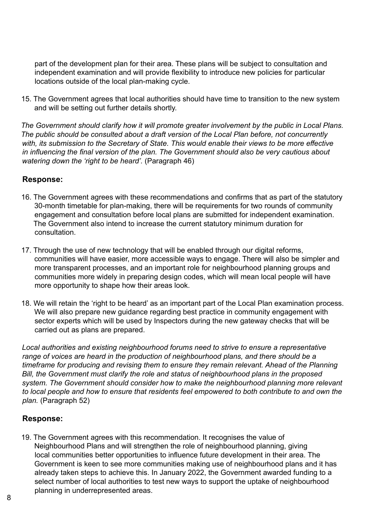part of the development plan for their area. These plans will be subject to consultation and independent examination and will provide flexibility to introduce new policies for particular locations outside of the local plan-making cycle.

15. The Government agrees that local authorities should have time to transition to the new system and will be setting out further details shortly.

*The Government should clarify how it will promote greater involvement by the public in Local Plans. The public should be consulted about a draft version of the Local Plan before, not concurrently with, its submission to the Secretary of State. This would enable their views to be more effective in influencing the final version of the plan. The Government should also be very cautious about watering down the 'right to be heard'.* (Paragraph 46)

### **Response:**

- 16. The Government agrees with these recommendations and confirms that as part of the statutory 30-month timetable for plan-making, there will be requirements for two rounds of community engagement and consultation before local plans are submitted for independent examination. The Government also intend to increase the current statutory minimum duration for consultation.
- 17. Through the use of new technology that will be enabled through our digital reforms, communities will have easier, more accessible ways to engage. There will also be simpler and more transparent processes, and an important role for neighbourhood planning groups and communities more widely in preparing design codes, which will mean local people will have more opportunity to shape how their areas look.
- 18. We will retain the 'right to be heard' as an important part of the Local Plan examination process. We will also prepare new guidance regarding best practice in community engagement with sector experts which will be used by Inspectors during the new gateway checks that will be carried out as plans are prepared.

*Local authorities and existing neighbourhood forums need to strive to ensure a representative range of voices are heard in the production of neighbourhood plans, and there should be a timeframe for producing and revising them to ensure they remain relevant. Ahead of the Planning Bill, the Government must clarify the role and status of neighbourhood plans in the proposed system. The Government should consider how to make the neighbourhood planning more relevant to local people and how to ensure that residents feel empowered to both contribute to and own the plan.* (Paragraph 52)

### **Response:**

19. The Government agrees with this recommendation. It recognises the value of Neighbourhood Plans and will strengthen the role of neighbourhood planning, giving local communities better opportunities to influence future development in their area. The Government is keen to see more communities making use of neighbourhood plans and it has already taken steps to achieve this. In January 2022, the Government awarded funding to a select number of local authorities to test new ways to support the uptake of neighbourhood planning in underrepresented areas.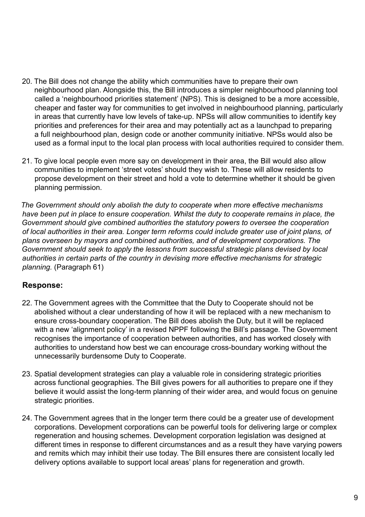- 20. The Bill does not change the ability which communities have to prepare their own neighbourhood plan. Alongside this, the Bill introduces a simpler neighbourhood planning tool called a 'neighbourhood priorities statement' (NPS). This is designed to be a more accessible, cheaper and faster way for communities to get involved in neighbourhood planning, particularly in areas that currently have low levels of take-up. NPSs will allow communities to identify key priorities and preferences for their area and may potentially act as a launchpad to preparing a full neighbourhood plan, design code or another community initiative. NPSs would also be used as a formal input to the local plan process with local authorities required to consider them.
- 21. To give local people even more say on development in their area, the Bill would also allow communities to implement 'street votes' should they wish to. These will allow residents to propose development on their street and hold a vote to determine whether it should be given planning permission.

*The Government should only abolish the duty to cooperate when more effective mechanisms have been put in place to ensure cooperation. Whilst the duty to cooperate remains in place, the Government should give combined authorities the statutory powers to oversee the cooperation of local authorities in their area. Longer term reforms could include greater use of joint plans, of plans overseen by mayors and combined authorities, and of development corporations. The Government should seek to apply the lessons from successful strategic plans devised by local authorities in certain parts of the country in devising more effective mechanisms for strategic planning.* (Paragraph 61)

### **Response:**

- 22. The Government agrees with the Committee that the Duty to Cooperate should not be abolished without a clear understanding of how it will be replaced with a new mechanism to ensure cross-boundary cooperation. The Bill does abolish the Duty, but it will be replaced with a new 'alignment policy' in a revised NPPF following the Bill's passage. The Government recognises the importance of cooperation between authorities, and has worked closely with authorities to understand how best we can encourage cross-boundary working without the unnecessarily burdensome Duty to Cooperate.
- 23. Spatial development strategies can play a valuable role in considering strategic priorities across functional geographies. The Bill gives powers for all authorities to prepare one if they believe it would assist the long-term planning of their wider area, and would focus on genuine strategic priorities.
- 24. The Government agrees that in the longer term there could be a greater use of development corporations. Development corporations can be powerful tools for delivering large or complex regeneration and housing schemes. Development corporation legislation was designed at different times in response to different circumstances and as a result they have varying powers and remits which may inhibit their use today. The Bill ensures there are consistent locally led delivery options available to support local areas' plans for regeneration and growth.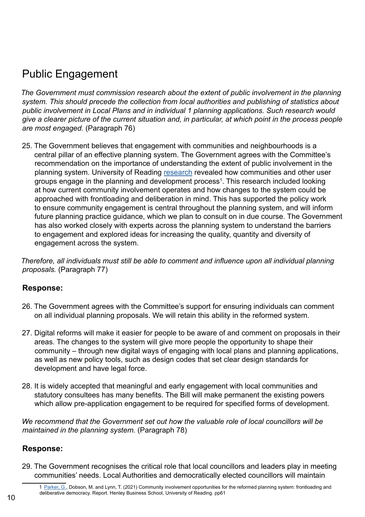# <span id="page-11-0"></span>Public Engagement

*The Government must commission research about the extent of public involvement in the planning system. This should precede the collection from local authorities and publishing of statistics about public involvement in Local Plans and in individual 1 planning applications. Such research would give a clearer picture of the current situation and, in particular, at which point in the process people are most engaged.* (Paragraph 76)

25. The Government believes that engagement with communities and neighbourhoods is a central pillar of an effective planning system. The Government agrees with the Committee's recommendation on the importance of understanding the extent of public involvement in the planning system. University of Reading [research](http://centaur.reading.ac.uk/98773/) revealed how communities and other user groups engage in the planning and development process<sup>1</sup>. This research included looking at how current community involvement operates and how changes to the system could be approached with frontloading and deliberation in mind. This has supported the policy work to ensure community engagement is central throughout the planning system, and will inform future planning practice guidance, which we plan to consult on in due course. The Government has also worked closely with experts across the planning system to understand the barriers to engagement and explored ideas for increasing the quality, quantity and diversity of engagement across the system.

*Therefore, all individuals must still be able to comment and influence upon all individual planning proposals.* (Paragraph 77)

# **Response:**

- 26. The Government agrees with the Committee's support for ensuring individuals can comment on all individual planning proposals. We will retain this ability in the reformed system.
- 27. Digital reforms will make it easier for people to be aware of and comment on proposals in their areas. The changes to the system will give more people the opportunity to shape their community – through new digital ways of engaging with local plans and planning applications, as well as new policy tools, such as design codes that set clear design standards for development and have legal force.
- 28. It is widely accepted that meaningful and early engagement with local communities and statutory consultees has many benefits. The Bill will make permanent the existing powers which allow pre-application engagement to be required for specified forms of development.

*We recommend that the Government set out how the valuable role of local councillors will be maintained in the planning system.* (Paragraph 78)

# **Response:**

29. The Government recognises the critical role that local councillors and leaders play in meeting communities' needs. Local Authorities and democratically elected councillors will maintain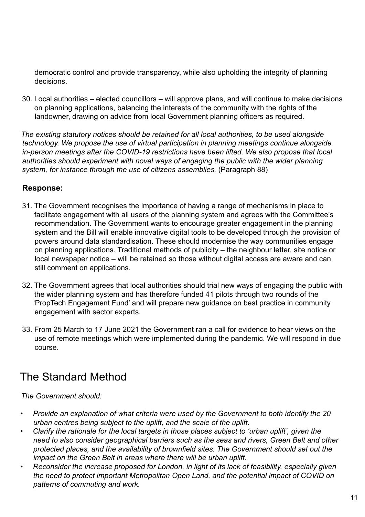<span id="page-12-0"></span>democratic control and provide transparency, while also upholding the integrity of planning decisions.

30. Local authorities – elected councillors – will approve plans, and will continue to make decisions on planning applications, balancing the interests of the community with the rights of the landowner, drawing on advice from local Government planning officers as required.

*The existing statutory notices should be retained for all local authorities, to be used alongside technology. We propose the use of virtual participation in planning meetings continue alongside in-person meetings after the COVID-19 restrictions have been lifted. We also propose that local authorities should experiment with novel ways of engaging the public with the wider planning system, for instance through the use of citizens assemblies.* (Paragraph 88)

# **Response:**

- 31. The Government recognises the importance of having a range of mechanisms in place to facilitate engagement with all users of the planning system and agrees with the Committee's recommendation. The Government wants to encourage greater engagement in the planning system and the Bill will enable innovative digital tools to be developed through the provision of powers around data standardisation. These should modernise the way communities engage on planning applications. Traditional methods of publicity – the neighbour letter, site notice or local newspaper notice – will be retained so those without digital access are aware and can still comment on applications.
- 32. The Government agrees that local authorities should trial new ways of engaging the public with the wider planning system and has therefore funded 41 pilots through two rounds of the 'PropTech Engagement Fund' and will prepare new guidance on best practice in community engagement with sector experts.
- 33. From 25 March to 17 June 2021 the Government ran a call for evidence to hear views on the use of remote meetings which were implemented during the pandemic. We will respond in due course.

# The Standard Method

*The Government should:* 

- *• Provide an explanation of what criteria were used by the Government to both identify the 20 urban centres being subject to the uplift, and the scale of the uplift.*
- *• Clarify the rationale for the local targets in those places subject to 'urban uplift', given the need to also consider geographical barriers such as the seas and rivers, Green Belt and other protected places, and the availability of brownfield sites. The Government should set out the impact on the Green Belt in areas where there will be urban uplift.*
- *• Reconsider the increase proposed for London, in light of its lack of feasibility, especially given the need to protect important Metropolitan Open Land, and the potential impact of COVID on patterns of commuting and work.*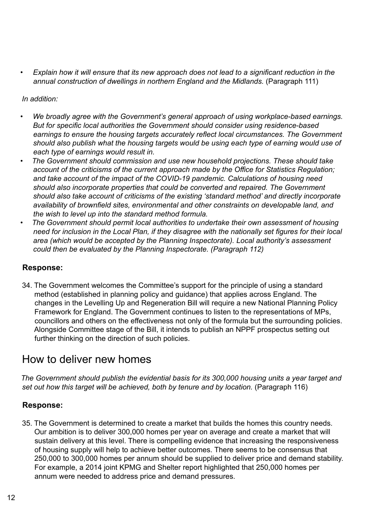<span id="page-13-0"></span>*• Explain how it will ensure that its new approach does not lead to a significant reduction in the annual construction of dwellings in northern England and the Midlands.* (Paragraph 111)

*In addition:*

- *• We broadly agree with the Government's general approach of using workplace-based earnings. But for specific local authorities the Government should consider using residence-based earnings to ensure the housing targets accurately reflect local circumstances. The Government should also publish what the housing targets would be using each type of earning would use of each type of earnings would result in.*
- *• The Government should commission and use new household projections. These should take account of the criticisms of the current approach made by the Office for Statistics Regulation; and take account of the impact of the COVID-19 pandemic. Calculations of housing need should also incorporate properties that could be converted and repaired. The Government should also take account of criticisms of the existing 'standard method' and directly incorporate availability of brownfield sites, environmental and other constraints on developable land, and the wish to level up into the standard method formula.*
- *• The Government should permit local authorities to undertake their own assessment of housing need for inclusion in the Local Plan, if they disagree with the nationally set figures for their local area (which would be accepted by the Planning Inspectorate). Local authority's assessment could then be evaluated by the Planning Inspectorate. (Paragraph 112)*

### **Response:**

34. The Government welcomes the Committee's support for the principle of using a standard method (established in planning policy and guidance) that applies across England. The changes in the Levelling Up and Regeneration Bill will require a new National Planning Policy Framework for England. The Government continues to listen to the representations of MPs, councillors and others on the effectiveness not only of the formula but the surrounding policies. Alongside Committee stage of the Bill, it intends to publish an NPPF prospectus setting out further thinking on the direction of such policies.

# How to deliver new homes

*The Government should publish the evidential basis for its 300,000 housing units a year target and*  set out how this target will be achieved, both by tenure and by location. (Paragraph 116)

### **Response:**

35. The Government is determined to create a market that builds the homes this country needs. Our ambition is to deliver 300,000 homes per year on average and create a market that will sustain delivery at this level. There is compelling evidence that increasing the responsiveness of housing supply will help to achieve better outcomes. There seems to be consensus that 250,000 to 300,000 homes per annum should be supplied to deliver price and demand stability. For example, a 2014 joint KPMG and Shelter report highlighted that 250,000 homes per annum were needed to address price and demand pressures.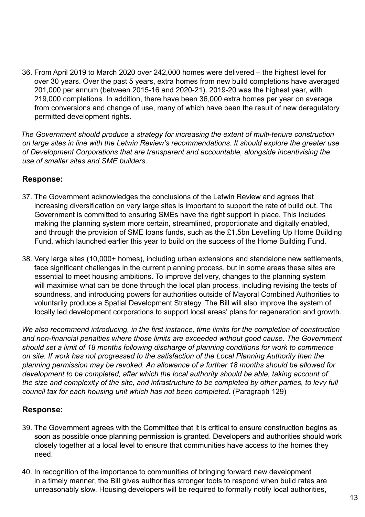36. From April 2019 to March 2020 over 242,000 homes were delivered – the highest level for over 30 years. Over the past 5 years, extra homes from new build completions have averaged 201,000 per annum (between 2015-16 and 2020-21). 2019-20 was the highest year, with 219,000 completions. In addition, there have been 36,000 extra homes per year on average from conversions and change of use, many of which have been the result of new deregulatory permitted development rights.

*The Government should produce a strategy for increasing the extent of multi-tenure construction on large sites in line with the Letwin Review's recommendations. It should explore the greater use of Development Corporations that are transparent and accountable, alongside incentivising the use of smaller sites and SME builders.* 

### **Response:**

- 37. The Government acknowledges the conclusions of the Letwin Review and agrees that increasing diversification on very large sites is important to support the rate of build out. The Government is committed to ensuring SMEs have the right support in place. This includes making the planning system more certain, streamlined, proportionate and digitally enabled, and through the provision of SME loans funds, such as the £1.5bn Levelling Up Home Building Fund, which launched earlier this year to build on the success of the Home Building Fund.
- 38. Very large sites (10,000+ homes), including urban extensions and standalone new settlements, face significant challenges in the current planning process, but in some areas these sites are essential to meet housing ambitions. To improve delivery, changes to the planning system will maximise what can be done through the local plan process, including revising the tests of soundness, and introducing powers for authorities outside of Mayoral Combined Authorities to voluntarily produce a Spatial Development Strategy. The Bill will also improve the system of locally led development corporations to support local areas' plans for regeneration and growth.

*We also recommend introducing, in the first instance, time limits for the completion of construction and non-financial penalties where those limits are exceeded without good cause. The Government should set a limit of 18 months following discharge of planning conditions for work to commence on site. If work has not progressed to the satisfaction of the Local Planning Authority then the planning permission may be revoked. An allowance of a further 18 months should be allowed for development to be completed, after which the local authority should be able, taking account of the size and complexity of the site, and infrastructure to be completed by other parties, to levy full council tax for each housing unit which has not been completed.* (Paragraph 129)

#### **Response:**

- 39. The Government agrees with the Committee that it is critical to ensure construction begins as soon as possible once planning permission is granted. Developers and authorities should work closely together at a local level to ensure that communities have access to the homes they need.
- 40. In recognition of the importance to communities of bringing forward new development in a timely manner, the Bill gives authorities stronger tools to respond when build rates are unreasonably slow. Housing developers will be required to formally notify local authorities,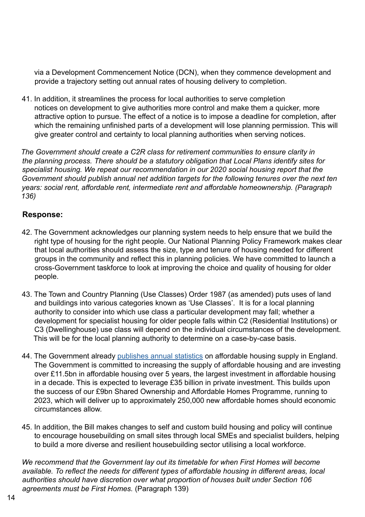via a Development Commencement Notice (DCN), when they commence development and provide a trajectory setting out annual rates of housing delivery to completion.

41. In addition, it streamlines the process for local authorities to serve completion notices on development to give authorities more control and make them a quicker, more attractive option to pursue. The effect of a notice is to impose a deadline for completion, after which the remaining unfinished parts of a development will lose planning permission. This will give greater control and certainty to local planning authorities when serving notices.

*The Government should create a C2R class for retirement communities to ensure clarity in the planning process. There should be a statutory obligation that Local Plans identify sites for specialist housing. We repeat our recommendation in our 2020 social housing report that the Government should publish annual net addition targets for the following tenures over the next ten years: social rent, affordable rent, intermediate rent and affordable homeownership. (Paragraph 136)*

### **Response:**

- 42. The Government acknowledges our planning system needs to help ensure that we build the right type of housing for the right people. Our National Planning Policy Framework makes clear that local authorities should assess the size, type and tenure of housing needed for different groups in the community and reflect this in planning policies. We have committed to launch a cross-Government taskforce to look at improving the choice and quality of housing for older people.
- 43. The Town and Country Planning (Use Classes) Order 1987 (as amended) puts uses of land and buildings into various categories known as 'Use Classes'. It is for a local planning authority to consider into which use class a particular development may fall; whether a development for specialist housing for older people falls within C2 (Residential Institutions) or C3 (Dwellinghouse) use class will depend on the individual circumstances of the development. This will be for the local planning authority to determine on a case-by-case basis.
- 44. The Government already [publishes annual statistics](https://www.gov.uk/government/statistical-data-sets/live-tables-on-affordable-housing-supply) on affordable housing supply in England. The Government is committed to increasing the supply of affordable housing and are investing over £11.5bn in affordable housing over 5 years, the largest investment in affordable housing in a decade. This is expected to leverage £35 billion in private investment. This builds upon the success of our £9bn Shared Ownership and Affordable Homes Programme, running to 2023, which will deliver up to approximately 250,000 new affordable homes should economic circumstances allow.
- 45. In addition, the Bill makes changes to self and custom build housing and policy will continue to encourage housebuilding on small sites through local SMEs and specialist builders, helping to build a more diverse and resilient housebuilding sector utilising a local workforce.

*We recommend that the Government lay out its timetable for when First Homes will become available. To reflect the needs for different types of affordable housing in different areas, local authorities should have discretion over what proportion of houses built under Section 106 agreements must be First Homes.* (Paragraph 139)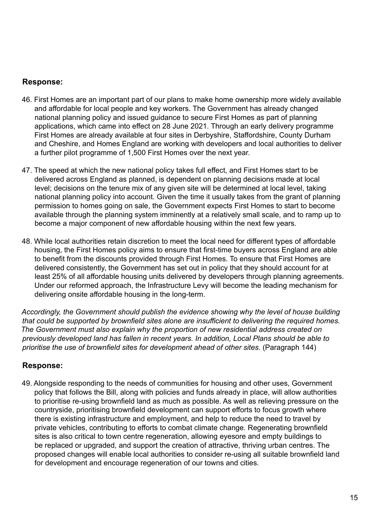### **Response:**

- 46. First Homes are an important part of our plans to make home ownership more widely available and affordable for local people and key workers. The Government has already changed national planning policy and issued guidance to secure First Homes as part of planning applications, which came into effect on 28 June 2021. Through an early delivery programme First Homes are already available at four sites in Derbyshire, Staffordshire, County Durham and Cheshire, and Homes England are working with developers and local authorities to deliver a further pilot programme of 1,500 First Homes over the next year.
- 47. The speed at which the new national policy takes full effect, and First Homes start to be delivered across England as planned, is dependent on planning decisions made at local level; decisions on the tenure mix of any given site will be determined at local level, taking national planning policy into account. Given the time it usually takes from the grant of planning permission to homes going on sale, the Government expects First Homes to start to become available through the planning system imminently at a relatively small scale, and to ramp up to become a major component of new affordable housing within the next few years.
- 48. While local authorities retain discretion to meet the local need for different types of affordable housing, the First Homes policy aims to ensure that first-time buyers across England are able to benefit from the discounts provided through First Homes. To ensure that First Homes are delivered consistently, the Government has set out in policy that they should account for at least 25% of all affordable housing units delivered by developers through planning agreements. Under our reformed approach, the Infrastructure Levy will become the leading mechanism for delivering onsite affordable housing in the long-term.

*Accordingly, the Government should publish the evidence showing why the level of house building that could be supported by brownfield sites alone are insufficient to delivering the required homes. The Government must also explain why the proportion of new residential address created on previously developed land has fallen in recent years. In addition, Local Plans should be able to prioritise the use of brownfield sites for development ahead of other sites.* (Paragraph 144)

#### **Response:**

49. Alongside responding to the needs of communities for housing and other uses, Government policy that follows the Bill, along with policies and funds already in place, will allow authorities to prioritise re-using brownfield land as much as possible. As well as relieving pressure on the countryside, prioritising brownfield development can support efforts to focus growth where there is existing infrastructure and employment, and help to reduce the need to travel by private vehicles, contributing to efforts to combat climate change. Regenerating brownfield sites is also critical to town centre regeneration, allowing eyesore and empty buildings to be replaced or upgraded, and support the creation of attractive, thriving urban centres. The proposed changes will enable local authorities to consider re-using all suitable brownfield land for development and encourage regeneration of our towns and cities.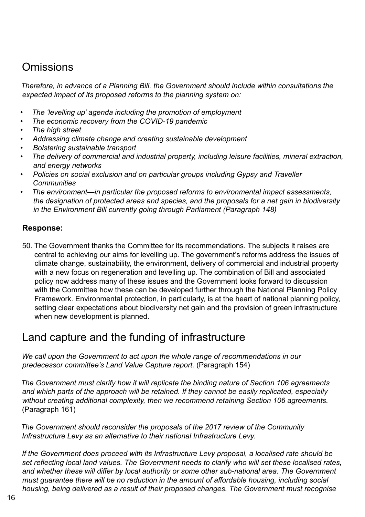# <span id="page-17-0"></span>**Omissions**

*Therefore, in advance of a Planning Bill, the Government should include within consultations the expected impact of its proposed reforms to the planning system on:* 

- *• The 'levelling up' agenda including the promotion of employment*
- *• The economic recovery from the COVID-19 pandemic*
- *• The high street*
- *• Addressing climate change and creating sustainable development*
- *• Bolstering sustainable transport*
- *• The delivery of commercial and industrial property, including leisure facilities, mineral extraction, and energy networks*
- *• Policies on social exclusion and on particular groups including Gypsy and Traveller Communities*
- *• The environment—in particular the proposed reforms to environmental impact assessments, the designation of protected areas and species, and the proposals for a net gain in biodiversity in the Environment Bill currently going through Parliament (Paragraph 148)*

## **Response:**

50. The Government thanks the Committee for its recommendations. The subjects it raises are central to achieving our aims for levelling up. The government's reforms address the issues of climate change, sustainability, the environment, delivery of commercial and industrial property with a new focus on regeneration and levelling up. The combination of Bill and associated policy now address many of these issues and the Government looks forward to discussion with the Committee how these can be developed further through the National Planning Policy Framework. Environmental protection, in particularly, is at the heart of national planning policy, setting clear expectations about biodiversity net gain and the provision of green infrastructure when new development is planned.

# Land capture and the funding of infrastructure

*We call upon the Government to act upon the whole range of recommendations in our predecessor committee's Land Value Capture report.* (Paragraph 154)

*The Government must clarify how it will replicate the binding nature of Section 106 agreements and which parts of the approach will be retained. If they cannot be easily replicated, especially without creating additional complexity, then we recommend retaining Section 106 agreements.*  (Paragraph 161)

*The Government should reconsider the proposals of the 2017 review of the Community Infrastructure Levy as an alternative to their national Infrastructure Levy.*

*If the Government does proceed with its Infrastructure Levy proposal, a localised rate should be set reflecting local land values. The Government needs to clarify who will set these localised rates, and whether these will differ by local authority or some other sub-national area. The Government must guarantee there will be no reduction in the amount of affordable housing, including social housing, being delivered as a result of their proposed changes. The Government must recognise*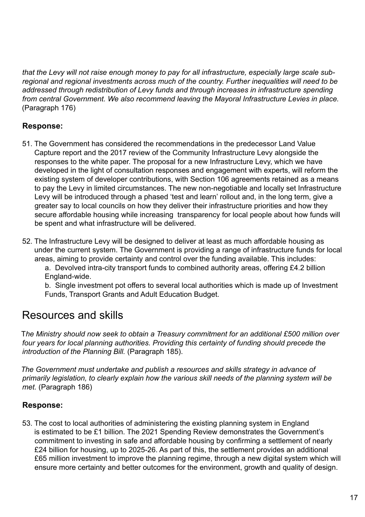<span id="page-18-0"></span>*that the Levy will not raise enough money to pay for all infrastructure, especially large scale subregional and regional investments across much of the country. Further inequalities will need to be addressed through redistribution of Levy funds and through increases in infrastructure spending from central Government. We also recommend leaving the Mayoral Infrastructure Levies in place.* (Paragraph 176)

# **Response:**

- 51. The Government has considered the recommendations in the predecessor Land Value Capture report and the 2017 review of the Community Infrastructure Levy alongside the responses to the white paper. The proposal for a new Infrastructure Levy, which we have developed in the light of consultation responses and engagement with experts, will reform the existing system of developer contributions, with Section 106 agreements retained as a means to pay the Levy in limited circumstances. The new non-negotiable and locally set Infrastructure Levy will be introduced through a phased 'test and learn' rollout and, in the long term, give a greater say to local councils on how they deliver their infrastructure priorities and how they secure affordable housing while increasing transparency for local people about how funds will be spent and what infrastructure will be delivered.
- 52. The Infrastructure Levy will be designed to deliver at least as much affordable housing as under the current system. The Government is providing a range of infrastructure funds for local areas, aiming to provide certainty and control over the funding available. This includes:

a. Devolved intra-city transport funds to combined authority areas, offering £4.2 billion England-wide.

b. Single investment pot offers to several local authorities which is made up of Investment Funds, Transport Grants and Adult Education Budget.

# Resources and skills

T*he Ministry should now seek to obtain a Treasury commitment for an additional £500 million over four years for local planning authorities. Providing this certainty of funding should precede the introduction of the Planning Bill.* (Paragraph 185).

*The Government must undertake and publish a resources and skills strategy in advance of primarily legislation, to clearly explain how the various skill needs of the planning system will be met.* (Paragraph 186)

### **Response:**

53. The cost to local authorities of administering the existing planning system in England is estimated to be £1 billion. The 2021 Spending Review demonstrates the Government's commitment to investing in safe and affordable housing by confirming a settlement of nearly £24 billion for housing, up to 2025-26. As part of this, the settlement provides an additional £65 million investment to improve the planning regime, through a new digital system which will ensure more certainty and better outcomes for the environment, growth and quality of design.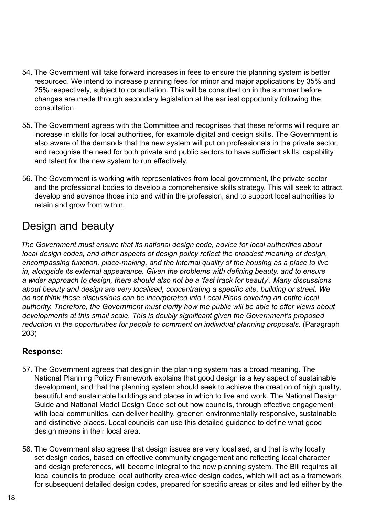- <span id="page-19-0"></span>54. The Government will take forward increases in fees to ensure the planning system is better resourced. We intend to increase planning fees for minor and major applications by 35% and 25% respectively, subject to consultation. This will be consulted on in the summer before changes are made through secondary legislation at the earliest opportunity following the consultation.
- 55. The Government agrees with the Committee and recognises that these reforms will require an increase in skills for local authorities, for example digital and design skills. The Government is also aware of the demands that the new system will put on professionals in the private sector, and recognise the need for both private and public sectors to have sufficient skills, capability and talent for the new system to run effectively.
- 56. The Government is working with representatives from local government, the private sector and the professional bodies to develop a comprehensive skills strategy. This will seek to attract, develop and advance those into and within the profession, and to support local authorities to retain and grow from within.

# Design and beauty

*The Government must ensure that its national design code, advice for local authorities about local design codes, and other aspects of design policy reflect the broadest meaning of design, encompassing function, place-making, and the internal quality of the housing as a place to live in, alongside its external appearance. Given the problems with defining beauty, and to ensure a wider approach to design, there should also not be a 'fast track for beauty'. Many discussions about beauty and design are very localised, concentrating a specific site, building or street. We do not think these discussions can be incorporated into Local Plans covering an entire local authority. Therefore, the Government must clarify how the public will be able to offer views about developments at this small scale. This is doubly significant given the Government's proposed reduction in the opportunities for people to comment on individual planning proposals.* (Paragraph 203)

# **Response:**

- 57. The Government agrees that design in the planning system has a broad meaning. The National Planning Policy Framework explains that good design is a key aspect of sustainable development, and that the planning system should seek to achieve the creation of high quality, beautiful and sustainable buildings and places in which to live and work. The National Design Guide and National Model Design Code set out how councils, through effective engagement with local communities, can deliver healthy, greener, environmentally responsive, sustainable and distinctive places. Local councils can use this detailed guidance to define what good design means in their local area.
- 58. The Government also agrees that design issues are very localised, and that is why locally set design codes, based on effective community engagement and reflecting local character and design preferences, will become integral to the new planning system. The Bill requires all local councils to produce local authority area-wide design codes, which will act as a framework for subsequent detailed design codes, prepared for specific areas or sites and led either by the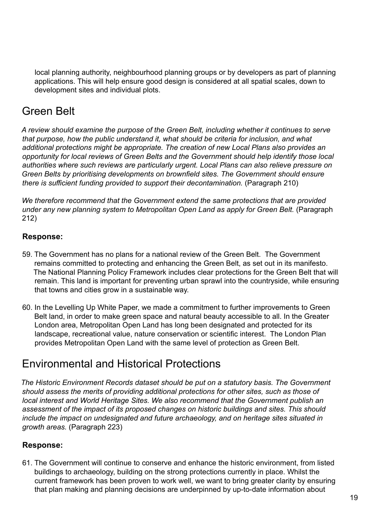<span id="page-20-0"></span>local planning authority, neighbourhood planning groups or by developers as part of planning applications. This will help ensure good design is considered at all spatial scales, down to development sites and individual plots.

# Green Belt

*A review should examine the purpose of the Green Belt, including whether it continues to serve that purpose, how the public understand it, what should be criteria for inclusion, and what additional protections might be appropriate. The creation of new Local Plans also provides an opportunity for local reviews of Green Belts and the Government should help identify those local authorities where such reviews are particularly urgent. Local Plans can also relieve pressure on Green Belts by prioritising developments on brownfield sites. The Government should ensure there is sufficient funding provided to support their decontamination.* (Paragraph 210)

*We therefore recommend that the Government extend the same protections that are provided under any new planning system to Metropolitan Open Land as apply for Green Belt.* (Paragraph 212)

### **Response:**

- 59. The Government has no plans for a national review of the Green Belt. The Government remains committed to protecting and enhancing the Green Belt, as set out in its manifesto. The National Planning Policy Framework includes clear protections for the Green Belt that will remain. This land is important for preventing urban sprawl into the countryside, while ensuring that towns and cities grow in a sustainable way.
- 60. In the Levelling Up White Paper, we made a commitment to further improvements to Green Belt land, in order to make green space and natural beauty accessible to all. In the Greater London area, Metropolitan Open Land has long been designated and protected for its landscape, recreational value, nature conservation or scientific interest. The London Plan provides Metropolitan Open Land with the same level of protection as Green Belt.

# Environmental and Historical Protections

*The Historic Environment Records dataset should be put on a statutory basis. The Government should assess the merits of providing additional protections for other sites, such as those of local interest and World Heritage Sites. We also recommend that the Government publish an assessment of the impact of its proposed changes on historic buildings and sites. This should include the impact on undesignated and future archaeology, and on heritage sites situated in growth areas.* (Paragraph 223)

### **Response:**

61. The Government will continue to conserve and enhance the historic environment, from listed buildings to archaeology, building on the strong protections currently in place. Whilst the current framework has been proven to work well, we want to bring greater clarity by ensuring that plan making and planning decisions are underpinned by up-to-date information about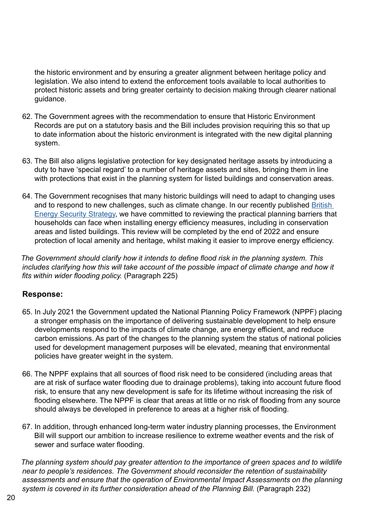the historic environment and by ensuring a greater alignment between heritage policy and legislation. We also intend to extend the enforcement tools available to local authorities to protect historic assets and bring greater certainty to decision making through clearer national guidance.

- 62. The Government agrees with the recommendation to ensure that Historic Environment Records are put on a statutory basis and the Bill includes provision requiring this so that up to date information about the historic environment is integrated with the new digital planning system.
- 63. The Bill also aligns legislative protection for key designated heritage assets by introducing a duty to have 'special regard' to a number of heritage assets and sites, bringing them in line with protections that exist in the planning system for listed buildings and conservation areas.
- 64. The Government recognises that many historic buildings will need to adapt to changing uses and to respond to new challenges, such as climate change. In our recently published [British](https://www.gov.uk/government/publications/british-energy-security-strategy/british-energy-security-strategy#energy-efficiency)  [Energy Security Strategy](https://www.gov.uk/government/publications/british-energy-security-strategy/british-energy-security-strategy#energy-efficiency), we have committed to reviewing the practical planning barriers that households can face when installing energy efficiency measures, including in conservation areas and listed buildings. This review will be completed by the end of 2022 and ensure protection of local amenity and heritage, whilst making it easier to improve energy efficiency.

*The Government should clarify how it intends to define flood risk in the planning system. This includes clarifying how this will take account of the possible impact of climate change and how it fits within wider flooding policy.* (Paragraph 225)

### **Response:**

- 65. In July 2021 the Government updated the National Planning Policy Framework (NPPF) placing a stronger emphasis on the importance of delivering sustainable development to help ensure developments respond to the impacts of climate change, are energy efficient, and reduce carbon emissions. As part of the changes to the planning system the status of national policies used for development management purposes will be elevated, meaning that environmental policies have greater weight in the system.
- 66. The NPPF explains that all sources of flood risk need to be considered (including areas that are at risk of surface water flooding due to drainage problems), taking into account future flood risk, to ensure that any new development is safe for its lifetime without increasing the risk of flooding elsewhere. The NPPF is clear that areas at little or no risk of flooding from any source should always be developed in preference to areas at a higher risk of flooding.
- 67. In addition, through enhanced long-term water industry planning processes, the Environment Bill will support our ambition to increase resilience to extreme weather events and the risk of sewer and surface water flooding.

*The planning system should pay greater attention to the importance of green spaces and to wildlife near to people's residences. The Government should reconsider the retention of sustainability assessments and ensure that the operation of Environmental Impact Assessments on the planning system is covered in its further consideration ahead of the Planning Bill.* (Paragraph 232)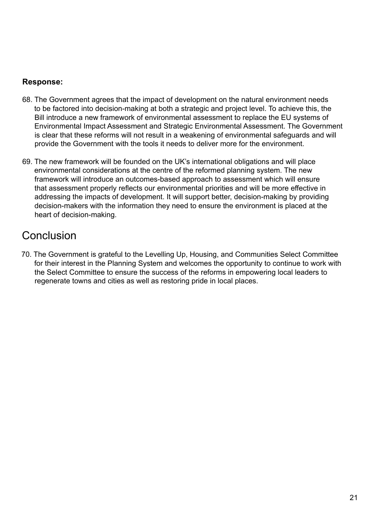## <span id="page-22-0"></span>**Response:**

- 68. The Government agrees that the impact of development on the natural environment needs to be factored into decision-making at both a strategic and project level. To achieve this, the Bill introduce a new framework of environmental assessment to replace the EU systems of Environmental Impact Assessment and Strategic Environmental Assessment. The Government is clear that these reforms will not result in a weakening of environmental safeguards and will provide the Government with the tools it needs to deliver more for the environment.
- 69. The new framework will be founded on the UK's international obligations and will place environmental considerations at the centre of the reformed planning system. The new framework will introduce an outcomes-based approach to assessment which will ensure that assessment properly reflects our environmental priorities and will be more effective in addressing the impacts of development. It will support better, decision-making by providing decision-makers with the information they need to ensure the environment is placed at the heart of decision-making.

# Conclusion

70. The Government is grateful to the Levelling Up, Housing, and Communities Select Committee for their interest in the Planning System and welcomes the opportunity to continue to work with the Select Committee to ensure the success of the reforms in empowering local leaders to regenerate towns and cities as well as restoring pride in local places.